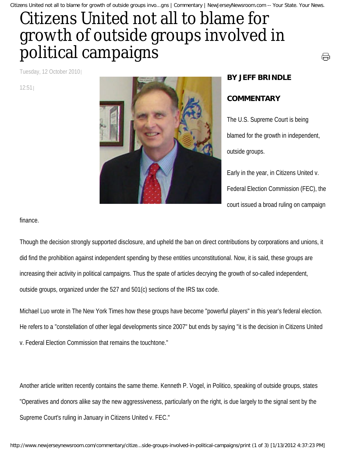Citizens United not all to blame for growth of outside groups invo...gns | Commentary | NewJerseyNewsroom.com -- Your State. Your News.

## Citizens United not all to blame for growth of outside groups involved in political campaigns

Tuesday, 12 October 2010

12:51



## **BY JEFF BRINDLE**

## **COMMENTARY**

The U.S. Supreme Court is being blamed for the growth in independent, outside groups.

⊜

Early in the year, in Citizens United v. Federal Election Commission (FEC), the court issued a broad ruling on campaign

finance.

Though the decision strongly supported disclosure, and upheld the ban on direct contributions by corporations and unions, it did find the prohibition against independent spending by these entities unconstitutional. Now, it is said, these groups are increasing their activity in political campaigns. Thus the spate of articles decrying the growth of so-called independent, outside groups, organized under the 527 and 501(c) sections of the IRS tax code.

Michael Luo wrote in The New York Times how these groups have become "powerful players" in this year's federal election. He refers to a "constellation of other legal developments since 2007" but ends by saying "it is the decision in Citizens United v. Federal Election Commission that remains the touchtone."

Another article written recently contains the same theme. Kenneth P. Vogel, in Politico, speaking of outside groups, states "Operatives and donors alike say the new aggressiveness, particularly on the right, is due largely to the signal sent by the Supreme Court's ruling in January in Citizens United v. FEC."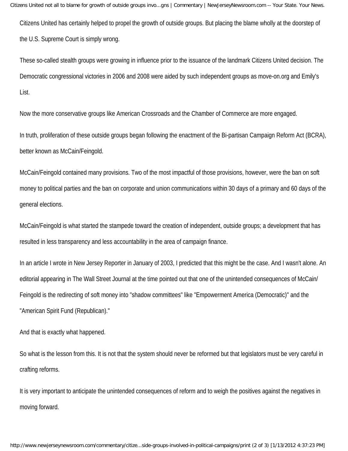Citizens United not all to blame for growth of outside groups invo...gns | Commentary | NewJerseyNewsroom.com -- Your State. Your News.

Citizens United has certainly helped to propel the growth of outside groups. But placing the blame wholly at the doorstep of the U.S. Supreme Court is simply wrong.

These so-called stealth groups were growing in influence prior to the issuance of the landmark Citizens United decision. The Democratic congressional victories in 2006 and 2008 were aided by such independent groups as move-on.org and Emily's List.

Now the more conservative groups like American Crossroads and the Chamber of Commerce are more engaged.

In truth, proliferation of these outside groups began following the enactment of the Bi-partisan Campaign Reform Act (BCRA), better known as McCain/Feingold.

McCain/Feingold contained many provisions. Two of the most impactful of those provisions, however, were the ban on soft money to political parties and the ban on corporate and union communications within 30 days of a primary and 60 days of the general elections.

McCain/Feingold is what started the stampede toward the creation of independent, outside groups; a development that has resulted in less transparency and less accountability in the area of campaign finance.

In an article I wrote in New Jersey Reporter in January of 2003, I predicted that this might be the case. And I wasn't alone. An editorial appearing in The Wall Street Journal at the time pointed out that one of the unintended consequences of McCain/ Feingold is the redirecting of soft money into "shadow committees" like "Empowerment America (Democratic)" and the "American Spirit Fund (Republican)."

And that is exactly what happened.

So what is the lesson from this. It is not that the system should never be reformed but that legislators must be very careful in crafting reforms.

It is very important to anticipate the unintended consequences of reform and to weigh the positives against the negatives in moving forward.